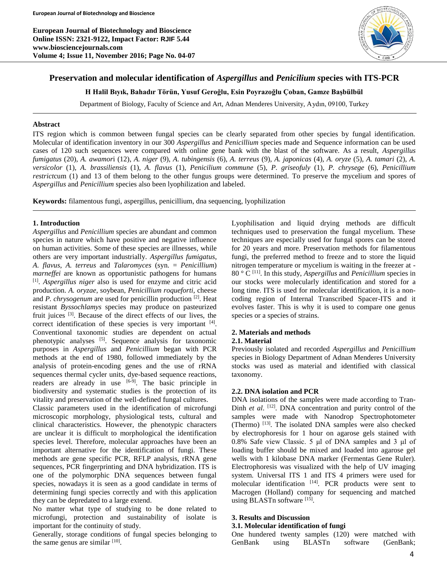**European Journal of Biotechnology and Bioscience Online ISSN: 2321-9122, Impact Factor: RJIF 5.44 www.biosciencejournals.com Volume 4; Issue 11, November 2016; Page No. 04-07**



# **Preservation and molecular identification of** *Aspergillus* **and** *Penicilium s***pecies with ITS-PCR**

**H Halil Bıyık, Bahadır Törün, Yusuf Geroğlu, Esin Poyrazoğlu Çoban, Gamze Başbülbül**

Department of Biology, Faculty of Science and Art, Adnan Menderes University, Aydın, 09100, Turkey

## **Abstract**

ITS region which is common between fungal species can be clearly separated from other species by fungal identification. Molecular of identification inventory in our 300 *Aspergillus* and *Penicillium* species made and Sequence information can be used cases of 120 such sequences were compared with online gene bank with the blast of the software. As a result, *Aspergillus fumigatus* (20), *A. awamor*i (12), *A. niger* (9), *A. tubingensis* (6), *A. terreus* (9), *A. japonicas* (4), *A. oryze* (5), *A. tamari* (2), *A. versicolor* (1), *A. brassiliensis* (1), *A. flavus* (1), *Penicilium commune* (5), *P. griseofuly* (1), *P. chrysege* (6), *Penicillium restrict*cum (1) and 13 of them belong to the other fungus groups were determined. To preserve the mycelium and spores of *Aspergillus* and *Penicillium* species also been lyophilization and labeled.

**Keywords:** filamentous fungi, aspergillus, penicillium, dna sequencing, lyophilization

## **1. Introduction**

*Aspergillus* and *Penicillium* species are abundant and common species in nature which have positive and negative influence on human activities. Some of these species are illnesses, while others are very important industrially. *Aspergillus fumigatus*, *A. flavus*, *A. terreus* and *Talaromyces* (syn. = *Penicillium*) *marneffei* are known as opportunistic pathogens for humans [1] . *Aspergillus niger* also is used for enzyme and citric acid production. *A. oryzae*, soybean, *Penicillium roqueforti*, cheese and *P. chrysogenum* are used for penicillin production <sup>[2]</sup>. Heat resistant *Byssochlamys* species may produce on pasteurized fruit juices <sup>[3]</sup>. Because of the direct effects of our lives, the correct identification of these species is very important [4]. Conventional taxonomic studies are dependent on actual phenotypic analyses [5]. Sequence analysis for taxonomic purposes in *Aspergillus* and *Penicillium* began with PCR methods at the end of 1980, followed immediately by the analysis of protein-encoding genes and the use of rRNA sequences thermal cycler units, dye-based sequence reactions, readers are already in use <sup>[6-9]</sup>. The basic principle in biodiversity and systematic studies is the protection of its vitality and preservation of the well-defined fungal cultures.

Classic parameters used in the identification of microfungi microscopic morphology, physiological tests, cultural and clinical characteristics. However, the phenotypic characters are unclear it is difficult to morphological the identification species level. Therefore, molecular approaches have been an important alternative for the identification of fungi. These methods are gene specific PCR, RFLP analysis, rRNA gene sequences, PCR fingerprinting and DNA hybridization. ITS is one of the polymorphic DNA sequences between fungal species, nowadays it is seen as a good candidate in terms of determining fungi species correctly and with this application they can be depredated to a large extend.

No matter what type of studying to be done related to microfungi, protection and sustainability of isolate is important for the continuity of study.

Generally, storage conditions of fungal species belonging to the same genus are similar  $[10]$ .

Lyophilisation and liquid drying methods are difficult techniques used to preservation the fungal mycelium. These techniques are especially used for fungal spores can be stored for 20 years and more. Preservation methods for filamentous fungi, the preferred method to freeze and to store the liquid nitrogen temperature or mycelium is waiting in the freezer at - 80 ° C [11]. In this study, *Aspergillus* and *Penicillium* species in our stocks were molecularly identification and stored for a long time. ITS is used for molecular identification, it is a noncoding region of Internal Transcribed Spacer-ITS and it evolves faster. This is why it is used to compare one genus species or a species of strains.

### **2. Materials and methods**

### **2.1. Material**

Previously isolated and recorded *Aspergillus* and *Penicillium* species in Biology Department of Adnan Menderes University stocks was used as material and identified with classical taxonomy.

### **2.2. DNA isolation and PCR**

DNA isolations of the samples were made according to Tran-Dinh *et al.* <sup>[12]</sup>. DNA concentration and purity control of the samples were made with Nanodrop Spectrophotometer (Thermo)  $^{[13]}$ . The isolated DNA samples were also checked by electrophoresis for 1 hour on agarose gels stained with 0.8% Safe view Classic. 5 μl of DNA samples and 3 μl of loading buffer should be mixed and loaded into agarose gel wells with 1 kilobase DNA marker (Fermentas Gene Ruler). Electrophoresis was visualized with the help of UV imaging system. Universal ITS 1 and ITS 4 primers were used for molecular identification <sup>[14]</sup>. PCR products were sent to Macrogen (Holland) company for sequencing and matched using BLASTn software [15].

### **3. Results and Discussion**

### **3.1. Molecular identification of fungi**

One hundered twenty samples (120) were matched with GenBank using BLASTn software (GenBank;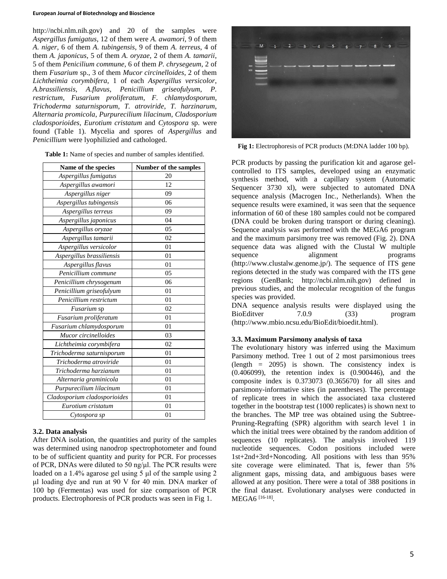#### **European Journal of Biotechnology and Bioscience**

http://ncbi.nlm.nih.gov) and 20 of the samples were *Aspergillus fumigatus*, 12 of them were *A. awamori*, 9 of them *A. niger*, 6 of them *A. tubingensis*, 9 of them *A. terreus*, 4 of them *A. japonicus*, 5 of them *A. oryzae*, 2 of them *A. tamarii*, 5 of them *Penicilium commune*, 6 of them *P. chrysegeum*, 2 of them *Fusarium* sp., 3 of them *Mucor circinelloides*, 2 of them *Lichtheimia corymbifera*, 1 of each *Aspergillus versicolor*, *A.brassiliensis*, *A.flavus*, *Penicillium griseofulyum*, *P. restrictum*, *Fusarium proliferatum*, *F. chlamydosporum*, *Trichoderma saturnisporum*, *T. atroviride*, *T. harzinarum*, *Alternaria promicola*, *Purpurecilium lilacinum*, *Cladosporium cladosporioides*, *Eurotium cristatum* and *Cytospora* sp. were found (Table 1). Mycelia and spores of *Aspergillus* and *Penicillium* were lyophilizied and cathologed.

| <b>Table 1:</b> Name of species and number of samples identified. |  |  |  |  |  |  |
|-------------------------------------------------------------------|--|--|--|--|--|--|
|-------------------------------------------------------------------|--|--|--|--|--|--|

| Name of the species          | Number of the samples |
|------------------------------|-----------------------|
| Aspergillus fumigatus        | 20                    |
| Aspergillus awamori          | 12                    |
| Aspergillus niger            | 09                    |
| Aspergillus tubingensis      | 06                    |
| Aspergillus terreus          | 09                    |
| Aspergillus japonicus        | 04                    |
| Aspergillus oryzae           | 05                    |
| Aspergillus tamarii          | 02                    |
| Aspergillus versicolor       | 0 <sub>1</sub>        |
| Aspergillus brassiliensis    | 0 <sub>1</sub>        |
| Aspergillus flavus           | 01                    |
| Penicillium commune          | 05                    |
| Penicillium chrysogenum      | 06                    |
| Penicillium griseofulyum     | 0 <sub>1</sub>        |
| Penicillium restrictum       | 01                    |
| <i>Fusarium</i> sp           | 02                    |
| Fusarium proliferatum        | 01                    |
| Fusarium chlamydosporum      | 0 <sub>1</sub>        |
| Mucor circinelloides         | 03                    |
| Lichtheimia corymbifera      | 02                    |
| Trichoderma saturnisporum    | 0 <sub>1</sub>        |
| Trichoderma atroviride       | 01                    |
| Trichoderma harzianum        | 0 <sub>1</sub>        |
| Alternaria graminicola       | 01                    |
| Purpurecilium lilacinum      | 01                    |
| Cladosporium cladosporioides | 01                    |
| Eurotium cristatum           | 01                    |
| Cytospora sp                 | 01                    |

## **3.2. Data analysis**

After DNA isolation, the quantities and purity of the samples was determined using nanodrop spectrophotometer and found to be of sufficient quantity and purity for PCR. For processes of PCR, DNAs were diluted to 50 ng/μl. The PCR results were loaded on a 1.4% agarose gel using 5 μl of the sample using 2 μl loading dye and run at 90 V for 40 min. DNA marker of 100 bp (Fermentas) was used for size comparison of PCR products. Electrophoresis of PCR products was seen in Fig 1.



**Fig 1:** Electrophoresis of PCR products (M:DNA ladder 100 bp).

PCR products by passing the purification kit and agarose gelcontrolled to ITS samples, developed using an enzymatic synthesis method, with a capillary system (Automatic Sequencer 3730 xl), were subjected to automated DNA sequence analysis (Macrogen Inc., Netherlands). When the sequence results were examined, it was seen that the sequence information of 60 of these 180 samples could not be compared (DNA could be broken during transport or during cleaning). Sequence analysis was performed with the MEGA6 program and the maximum parsimony tree was removed (Fig. 2). DNA sequence data was aligned with the Clustal W multiple sequence alignment programs (http://www.clustalw.genome.jp/). The sequence of ITS gene regions detected in the study was compared with the ITS gene regions (GenBank; http://ncbi.nlm.nih.gov) defined in previous studies, and the molecular recognition of the fungus species was provided.

DNA sequence analysis results were displayed using the BioEditver 7.0.9 (33) program (http://www.mbio.ncsu.edu/BioEdit/bioedit.html).

## **3.3. Maximum Parsimony analysis of taxa**

The evolutionary history was inferred using the Maximum Parsimony method. Tree 1 out of 2 most parsimonious trees (length = 2095) is shown. The consistency index is (0.406099), the retention index is (0.900446), and the composite index is 0.373073 (0.365670) for all sites and parsimony-informative sites (in parentheses). The percentage of replicate trees in which the associated taxa clustered together in the bootstrap test (1000 replicates) is shown next to the branches. The MP tree was obtained using the Subtree-Pruning-Regrafting (SPR) algorithm with search level 1 in which the initial trees were obtained by the random addition of sequences (10 replicates). The analysis involved 119 nucleotide sequences. Codon positions included were 1st+2nd+3rd+Noncoding. All positions with less than 95% site coverage were eliminated. That is, fewer than 5% alignment gaps, missing data, and ambiguous bases were allowed at any position. There were a total of 388 positions in the final dataset. Evolutionary analyses were conducted in MEGA6 [16-18] .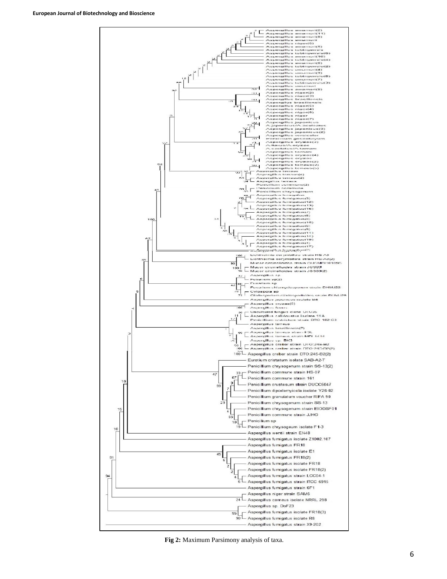

**Fig 2:** Maximum Parsimony analysis of taxa.